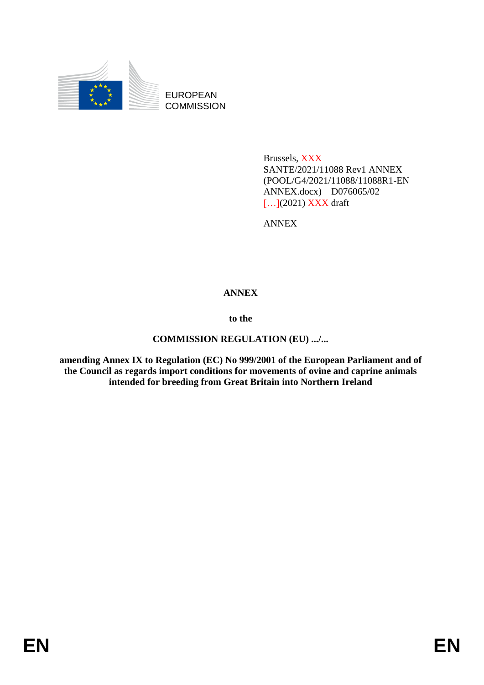

EUROPEAN **COMMISSION** 

> Brussels, XXX SANTE/2021/11088 Rev1 ANNEX (POOL/G4/2021/11088/11088R1-EN ANNEX.docx) D076065/02 [...](2021) **XXX** draft

ANNEX

## **ANNEX**

**to the**

## **COMMISSION REGULATION (EU) .../...**

**amending Annex IX to Regulation (EC) No 999/2001 of the European Parliament and of the Council as regards import conditions for movements of ovine and caprine animals intended for breeding from Great Britain into Northern Ireland**